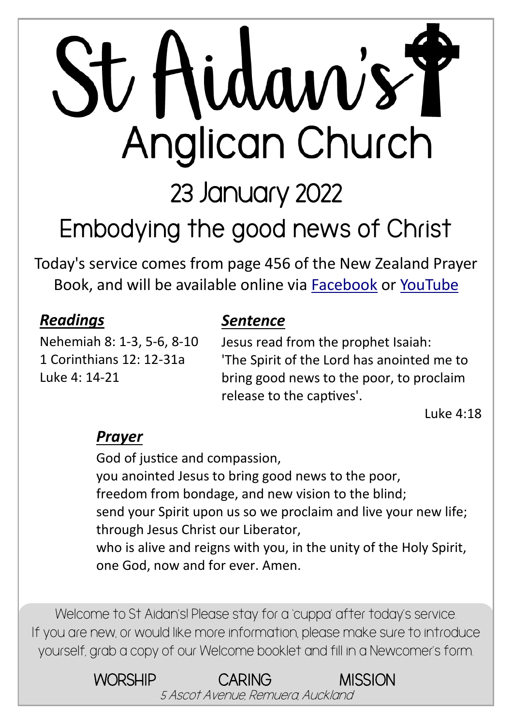# St Hidaw's Y Anglican Church

23 January 2022

## **Embodying the good news of Christ**

Today's service comes from page 456 of the New Zealand Prayer Book, and will be available online via [Facebook](https://www.facebook.com/StAidansRemuera/) or [YouTube](https://www.youtube.com/channel/UCp1KTUD3GRs20GGAFeAZ7fQ)

#### *Readings*

Nehemiah 8: 1-3, 5-6, 8-10 1 Corinthians 12: 12-31a Luke 4: 14-21

#### *Sentence*

Jesus read from the prophet Isaiah: 'The Spirit of the Lord has anointed me to bring good news to the poor, to proclaim release to the captives'.

Luke 4:18

#### *Prayer*

God of justice and compassion, you anointed Jesus to bring good news to the poor, freedom from bondage, and new vision to the blind; send your Spirit upon us so we proclaim and live your new life; through Jesus Christ our Liberator, who is alive and reigns with you, in the unity of the Holy Spirit, one God, now and for ever. Amen.

Welcome to St Aidan's! Please stay for a 'cuppa' after today's service. If you are new, or would like more information, please make sure to introduce yourself, grab a copy of our Welcome booklet and fill in a Newcomer's form.

> WORSHIP CARING MISSION 5 Ascot Avenue, Remuera, Auckland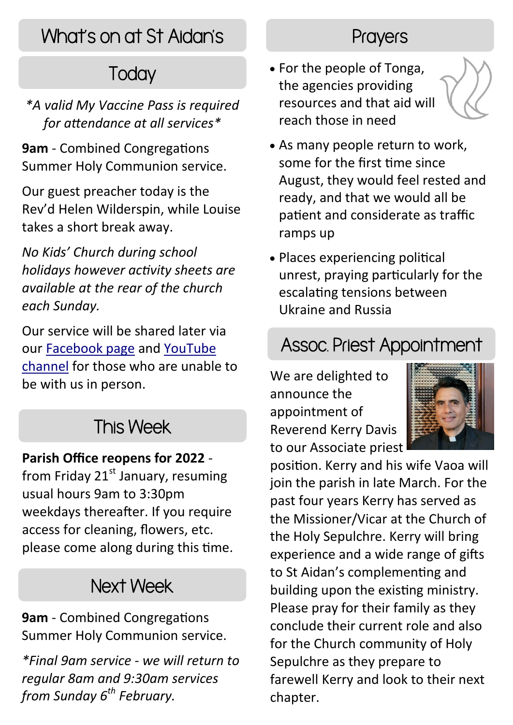## What's on at St Aidan's

## **Today**

*\*A valid My Vaccine Pass is required for attendance at all services\**

**9am** - Combined Congregations Summer Holy Communion service.

Our guest preacher today is the Rev'd Helen Wilderspin, while Louise takes a short break away.

*No Kids' Church during school holidays however activity sheets are available at the rear of the church each Sunday.*

Our service will be shared later via our [Facebook page](https://www.facebook.com/StAidansRemuera/) and [YouTube](https://www.youtube.com/channel/UCp1KTUD3GRs20GGAFeAZ7fQ)  [channel](https://www.youtube.com/channel/UCp1KTUD3GRs20GGAFeAZ7fQ) for those who are unable to be with us in person.

#### This Week

#### **Parish Office reopens for 2022** -

from Friday  $21<sup>st</sup>$  January, resuming usual hours 9am to 3:30pm weekdays thereafter. If you require access for cleaning, flowers, etc. please come along during this time.

#### Next Week

**9am** - Combined Congregations Summer Holy Communion service.

*\*Final 9am service - we will return to regular 8am and 9:30am services from Sunday 6th February.*

#### **Prayers**

 For the people of Tonga, the agencies providing resources and that aid will reach those in need



- As many people return to work, some for the first time since August, they would feel rested and ready, and that we would all be patient and considerate as traffic ramps up
- Places experiencing political unrest, praying particularly for the escalating tensions between Ukraine and Russia

#### Assoc. Priest Appointment

We are delighted to announce the appointment of Reverend Kerry Davis to our Associate priest



position. Kerry and his wife Vaoa will join the parish in late March. For the past four years Kerry has served as the Missioner/Vicar at the Church of the Holy Sepulchre. Kerry will bring experience and a wide range of gifts to St Aidan's complementing and building upon the existing ministry. Please pray for their family as they conclude their current role and also for the Church community of Holy Sepulchre as they prepare to farewell Kerry and look to their next chapter.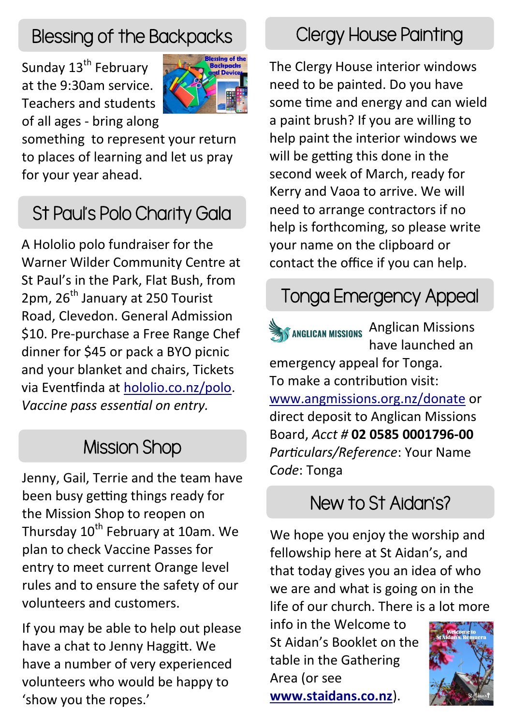## Blessing of the Backpacks

Sunday 13<sup>th</sup> February at the 9:30am service. Teachers and students of all ages - bring along



something to represent your return to places of learning and let us pray for your year ahead.

## St Paul's Polo Charity Gala

A Hololio polo fundraiser for the Warner Wilder Community Centre at St Paul's in the Park, Flat Bush, from 2pm, 26<sup>th</sup> January at 250 Tourist Road, Clevedon. General Admission \$10. Pre-purchase a Free Range Chef dinner for \$45 or pack a BYO picnic and your blanket and chairs, Tickets via Eventfinda at [hololio.co.nz/polo.](https://hololio.co.nz/polo) *Vaccine pass essential on entry.*

#### Mission Shop

Jenny, Gail, Terrie and the team have been busy getting things ready for the Mission Shop to reopen on Thursday 10<sup>th</sup> February at 10am. We plan to check Vaccine Passes for entry to meet current Orange level rules and to ensure the safety of our volunteers and customers.

If you may be able to help out please have a chat to Jenny Haggitt. We have a number of very experienced volunteers who would be happy to 'show you the ropes.'

#### Clergy House Painting

The Clergy House interior windows need to be painted. Do you have some time and energy and can wield a paint brush? If you are willing to help paint the interior windows we will be getting this done in the second week of March, ready for Kerry and Vaoa to arrive. We will need to arrange contractors if no help is forthcoming, so please write your name on the clipboard or contact the office if you can help.

## Tonga Emergency Appeal

**Anglican Missions Anglican Missions** have launched an emergency appeal for Tonga. To make a contribution visit: [www.angmissions.org.nz/donate](https://angmissions.org.nz/donate) or direct deposit to Anglican Missions Board, *Acct #* **02 0585 0001796-00** *Particulars/Reference*: Your Name *Code*: Tonga

#### New to St Aidan's?

We hope you enjoy the worship and fellowship here at St Aidan's, and that today gives you an idea of who we are and what is going on in the life of our church. There is a lot more

info in the Welcome to St Aidan's Booklet on the table in the Gathering Area (or see **[www.staidans.co.nz](https://www.staidans.co.nz/wp-content/uploads/2021/12/Welcome-Booklet-Web.pdf)**).